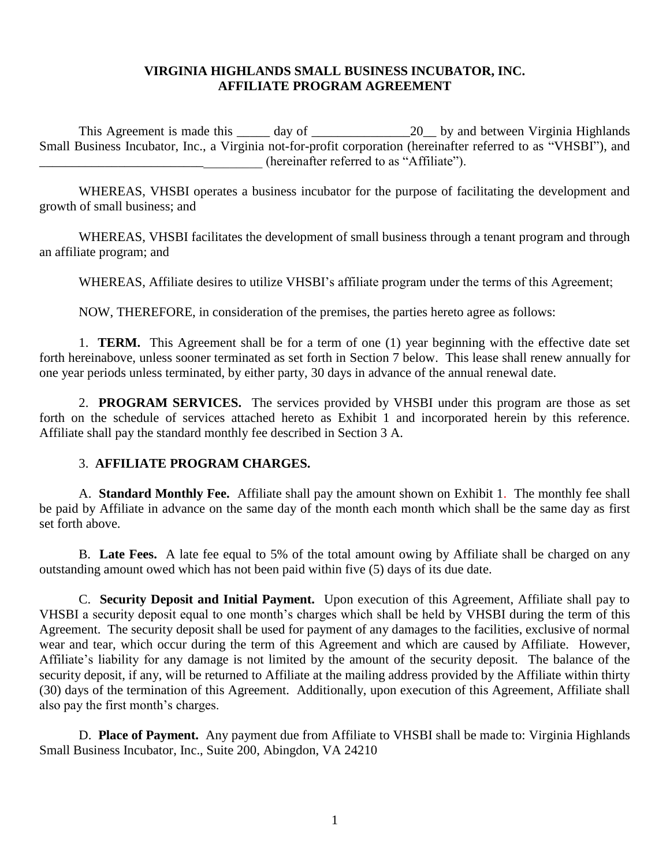#### **VIRGINIA HIGHLANDS SMALL BUSINESS INCUBATOR, INC. AFFILIATE PROGRAM AGREEMENT**

This Agreement is made this \_\_\_\_\_ day of \_\_\_\_\_\_\_\_\_\_\_\_\_\_\_20\_\_ by and between Virginia Highlands Small Business Incubator, Inc., a Virginia not-for-profit corporation (hereinafter referred to as "VHSBI"), and (hereinafter referred to as "Affiliate").

WHEREAS, VHSBI operates a business incubator for the purpose of facilitating the development and growth of small business; and

WHEREAS, VHSBI facilitates the development of small business through a tenant program and through an affiliate program; and

WHEREAS, Affiliate desires to utilize VHSBI's affiliate program under the terms of this Agreement;

NOW, THEREFORE, in consideration of the premises, the parties hereto agree as follows:

1. **TERM.** This Agreement shall be for a term of one (1) year beginning with the effective date set forth hereinabove, unless sooner terminated as set forth in Section 7 below. This lease shall renew annually for one year periods unless terminated, by either party, 30 days in advance of the annual renewal date.

2. **PROGRAM SERVICES.** The services provided by VHSBI under this program are those as set forth on the schedule of services attached hereto as Exhibit 1 and incorporated herein by this reference. Affiliate shall pay the standard monthly fee described in Section 3 A.

#### 3. **AFFILIATE PROGRAM CHARGES.**

A. **Standard Monthly Fee.** Affiliate shall pay the amount shown on Exhibit 1. The monthly fee shall be paid by Affiliate in advance on the same day of the month each month which shall be the same day as first set forth above.

B. **Late Fees.** A late fee equal to 5% of the total amount owing by Affiliate shall be charged on any outstanding amount owed which has not been paid within five (5) days of its due date.

C. **Security Deposit and Initial Payment.** Upon execution of this Agreement, Affiliate shall pay to VHSBI a security deposit equal to one month's charges which shall be held by VHSBI during the term of this Agreement. The security deposit shall be used for payment of any damages to the facilities, exclusive of normal wear and tear, which occur during the term of this Agreement and which are caused by Affiliate. However, Affiliate's liability for any damage is not limited by the amount of the security deposit. The balance of the security deposit, if any, will be returned to Affiliate at the mailing address provided by the Affiliate within thirty (30) days of the termination of this Agreement. Additionally, upon execution of this Agreement, Affiliate shall also pay the first month's charges.

D. **Place of Payment.** Any payment due from Affiliate to VHSBI shall be made to: Virginia Highlands Small Business Incubator, Inc., Suite 200, Abingdon, VA 24210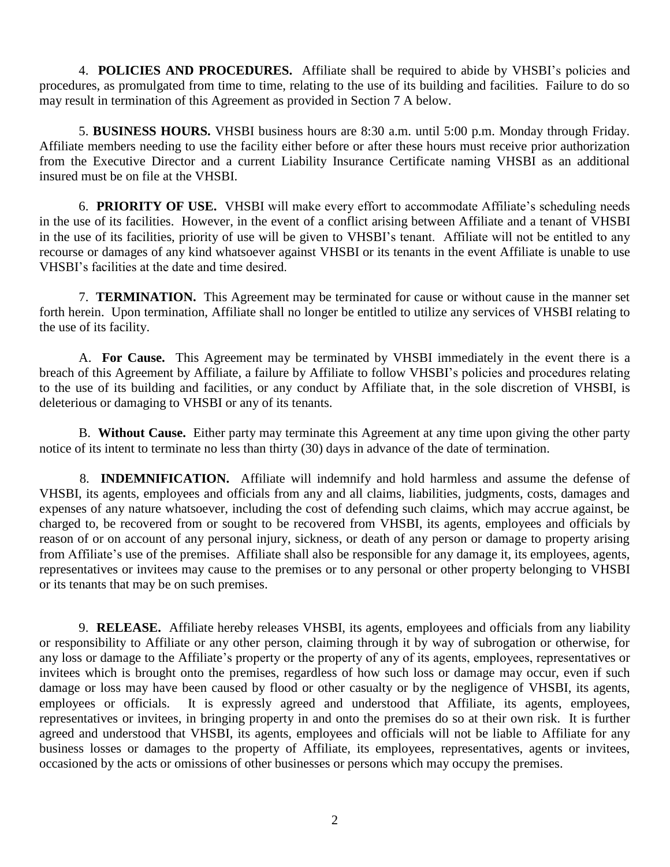4. **POLICIES AND PROCEDURES.** Affiliate shall be required to abide by VHSBI's policies and procedures, as promulgated from time to time, relating to the use of its building and facilities. Failure to do so may result in termination of this Agreement as provided in Section 7 A below.

5. **BUSINESS HOURS.** VHSBI business hours are 8:30 a.m. until 5:00 p.m. Monday through Friday. Affiliate members needing to use the facility either before or after these hours must receive prior authorization from the Executive Director and a current Liability Insurance Certificate naming VHSBI as an additional insured must be on file at the VHSBI.

6. **PRIORITY OF USE.** VHSBI will make every effort to accommodate Affiliate's scheduling needs in the use of its facilities. However, in the event of a conflict arising between Affiliate and a tenant of VHSBI in the use of its facilities, priority of use will be given to VHSBI's tenant. Affiliate will not be entitled to any recourse or damages of any kind whatsoever against VHSBI or its tenants in the event Affiliate is unable to use VHSBI's facilities at the date and time desired.

7. **TERMINATION.** This Agreement may be terminated for cause or without cause in the manner set forth herein. Upon termination, Affiliate shall no longer be entitled to utilize any services of VHSBI relating to the use of its facility.

A. **For Cause.** This Agreement may be terminated by VHSBI immediately in the event there is a breach of this Agreement by Affiliate, a failure by Affiliate to follow VHSBI's policies and procedures relating to the use of its building and facilities, or any conduct by Affiliate that, in the sole discretion of VHSBI, is deleterious or damaging to VHSBI or any of its tenants.

B. **Without Cause.** Either party may terminate this Agreement at any time upon giving the other party notice of its intent to terminate no less than thirty (30) days in advance of the date of termination.

8. **INDEMNIFICATION.** Affiliate will indemnify and hold harmless and assume the defense of VHSBI, its agents, employees and officials from any and all claims, liabilities, judgments, costs, damages and expenses of any nature whatsoever, including the cost of defending such claims, which may accrue against, be charged to, be recovered from or sought to be recovered from VHSBI, its agents, employees and officials by reason of or on account of any personal injury, sickness, or death of any person or damage to property arising from Affiliate's use of the premises. Affiliate shall also be responsible for any damage it, its employees, agents, representatives or invitees may cause to the premises or to any personal or other property belonging to VHSBI or its tenants that may be on such premises.

9. **RELEASE.** Affiliate hereby releases VHSBI, its agents, employees and officials from any liability or responsibility to Affiliate or any other person, claiming through it by way of subrogation or otherwise, for any loss or damage to the Affiliate's property or the property of any of its agents, employees, representatives or invitees which is brought onto the premises, regardless of how such loss or damage may occur, even if such damage or loss may have been caused by flood or other casualty or by the negligence of VHSBI, its agents, employees or officials. It is expressly agreed and understood that Affiliate, its agents, employees, representatives or invitees, in bringing property in and onto the premises do so at their own risk. It is further agreed and understood that VHSBI, its agents, employees and officials will not be liable to Affiliate for any business losses or damages to the property of Affiliate, its employees, representatives, agents or invitees, occasioned by the acts or omissions of other businesses or persons which may occupy the premises.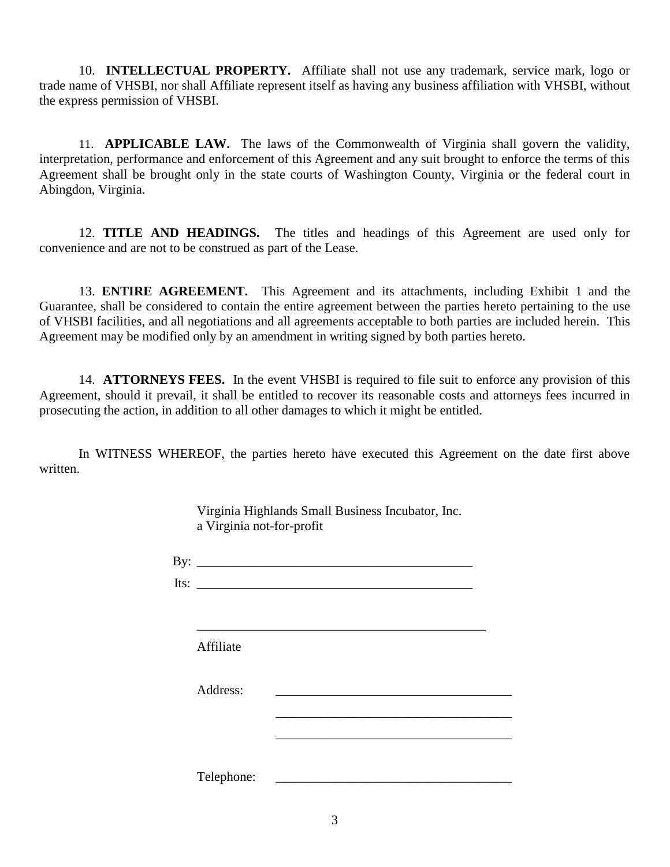10. **INTELLECTUAL PROPERTY.** Affiliate shall not use any trademark, service mark, logo or trade name of VHSBI, nor shall Affiliate represent itself as having any business affiliation with VHSBI, without the express permission of VHSBI.

11. **APPLICABLE LAW.** The laws of the Commonwealth of Virginia shall govern the validity, interpretation, performance and enforcement of this Agreement and any suit brought to enforce the terms of this Agreement shall be brought only in the state courts of Washington County, Virginia or the federal court in Abingdon, Virginia.

12. **TITLE AND HEADINGS.** The titles and headings of this Agreement are used only for convenience and are not to be construed as part of the Lease.

13. **ENTIRE AGREEMENT.** This Agreement and its attachments, including Exhibit 1 and the Guarantee, shall be considered to contain the entire agreement between the parties hereto pertaining to the use of VHSBI facilities, and all negotiations and all agreements acceptable to both parties are included herein. This Agreement may be modified only by an amendment in writing signed by both parties hereto.

14. **ATTORNEYS FEES.** In the event VHSBI is required to file suit to enforce any provision of this Agreement, should it prevail, it shall be entitled to recover its reasonable costs and attorneys fees incurred in prosecuting the action, in addition to all other damages to which it might be entitled.

In WITNESS WHEREOF, the parties hereto have executed this Agreement on the date first above written.

| Virginia Highlands Small Business Incubator, Inc.<br>a Virginia not-for-profit |  |  |  |
|--------------------------------------------------------------------------------|--|--|--|
| By: $\overline{\phantom{a}}$                                                   |  |  |  |
| Its: $\qquad \qquad$                                                           |  |  |  |
| Affiliate                                                                      |  |  |  |
| Address:                                                                       |  |  |  |
|                                                                                |  |  |  |
| Telephone:                                                                     |  |  |  |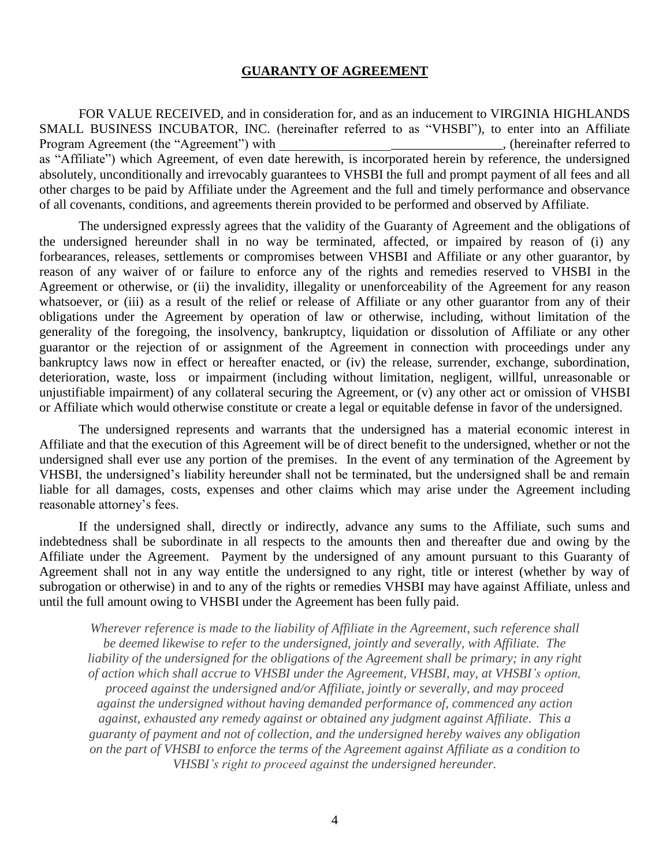#### **GUARANTY OF AGREEMENT**

FOR VALUE RECEIVED, and in consideration for, and as an inducement to VIRGINIA HIGHLANDS SMALL BUSINESS INCUBATOR, INC. (hereinafter referred to as "VHSBI"), to enter into an Affiliate Program Agreement (the "Agreement") with \_\_\_\_\_\_\_\_\_\_\_\_\_\_\_\_\_\_\_\_\_\_\_\_\_\_\_\_\_\_\_\_, (hereinafter referred to as "Affiliate") which Agreement, of even date herewith, is incorporated herein by reference, the undersigned absolutely, unconditionally and irrevocably guarantees to VHSBI the full and prompt payment of all fees and all other charges to be paid by Affiliate under the Agreement and the full and timely performance and observance of all covenants, conditions, and agreements therein provided to be performed and observed by Affiliate.

The undersigned expressly agrees that the validity of the Guaranty of Agreement and the obligations of the undersigned hereunder shall in no way be terminated, affected, or impaired by reason of (i) any forbearances, releases, settlements or compromises between VHSBI and Affiliate or any other guarantor, by reason of any waiver of or failure to enforce any of the rights and remedies reserved to VHSBI in the Agreement or otherwise, or (ii) the invalidity, illegality or unenforceability of the Agreement for any reason whatsoever, or (iii) as a result of the relief or release of Affiliate or any other guarantor from any of their obligations under the Agreement by operation of law or otherwise, including, without limitation of the generality of the foregoing, the insolvency, bankruptcy, liquidation or dissolution of Affiliate or any other guarantor or the rejection of or assignment of the Agreement in connection with proceedings under any bankruptcy laws now in effect or hereafter enacted, or (iv) the release, surrender, exchange, subordination, deterioration, waste, loss or impairment (including without limitation, negligent, willful, unreasonable or unjustifiable impairment) of any collateral securing the Agreement, or (v) any other act or omission of VHSBI or Affiliate which would otherwise constitute or create a legal or equitable defense in favor of the undersigned.

The undersigned represents and warrants that the undersigned has a material economic interest in Affiliate and that the execution of this Agreement will be of direct benefit to the undersigned, whether or not the undersigned shall ever use any portion of the premises. In the event of any termination of the Agreement by VHSBI, the undersigned's liability hereunder shall not be terminated, but the undersigned shall be and remain liable for all damages, costs, expenses and other claims which may arise under the Agreement including reasonable attorney's fees.

If the undersigned shall, directly or indirectly, advance any sums to the Affiliate, such sums and indebtedness shall be subordinate in all respects to the amounts then and thereafter due and owing by the Affiliate under the Agreement. Payment by the undersigned of any amount pursuant to this Guaranty of Agreement shall not in any way entitle the undersigned to any right, title or interest (whether by way of subrogation or otherwise) in and to any of the rights or remedies VHSBI may have against Affiliate, unless and until the full amount owing to VHSBI under the Agreement has been fully paid.

*Wherever reference is made to the liability of Affiliate in the Agreement, such reference shall be deemed likewise to refer to the undersigned, jointly and severally, with Affiliate. The liability of the undersigned for the obligations of the Agreement shall be primary; in any right of action which shall accrue to VHSBI under the Agreement, VHSBI, may, at VHSBI's option, proceed against the undersigned and/or Affiliate, jointly or severally, and may proceed against the undersigned without having demanded performance of, commenced any action against, exhausted any remedy against or obtained any judgment against Affiliate. This a guaranty of payment and not of collection, and the undersigned hereby waives any obligation on the part of VHSBI to enforce the terms of the Agreement against Affiliate as a condition to VHSBI's right to proceed against the undersigned hereunder.*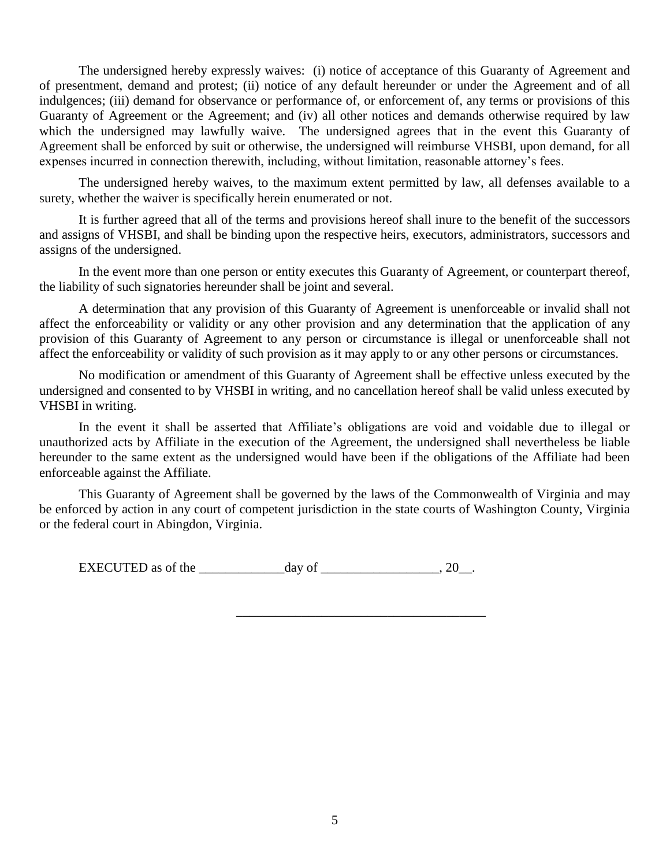The undersigned hereby expressly waives: (i) notice of acceptance of this Guaranty of Agreement and of presentment, demand and protest; (ii) notice of any default hereunder or under the Agreement and of all indulgences; (iii) demand for observance or performance of, or enforcement of, any terms or provisions of this Guaranty of Agreement or the Agreement; and (iv) all other notices and demands otherwise required by law which the undersigned may lawfully waive. The undersigned agrees that in the event this Guaranty of Agreement shall be enforced by suit or otherwise, the undersigned will reimburse VHSBI, upon demand, for all expenses incurred in connection therewith, including, without limitation, reasonable attorney's fees.

The undersigned hereby waives, to the maximum extent permitted by law, all defenses available to a surety, whether the waiver is specifically herein enumerated or not.

It is further agreed that all of the terms and provisions hereof shall inure to the benefit of the successors and assigns of VHSBI, and shall be binding upon the respective heirs, executors, administrators, successors and assigns of the undersigned.

In the event more than one person or entity executes this Guaranty of Agreement, or counterpart thereof, the liability of such signatories hereunder shall be joint and several.

A determination that any provision of this Guaranty of Agreement is unenforceable or invalid shall not affect the enforceability or validity or any other provision and any determination that the application of any provision of this Guaranty of Agreement to any person or circumstance is illegal or unenforceable shall not affect the enforceability or validity of such provision as it may apply to or any other persons or circumstances.

No modification or amendment of this Guaranty of Agreement shall be effective unless executed by the undersigned and consented to by VHSBI in writing, and no cancellation hereof shall be valid unless executed by VHSBI in writing.

In the event it shall be asserted that Affiliate's obligations are void and voidable due to illegal or unauthorized acts by Affiliate in the execution of the Agreement, the undersigned shall nevertheless be liable hereunder to the same extent as the undersigned would have been if the obligations of the Affiliate had been enforceable against the Affiliate.

This Guaranty of Agreement shall be governed by the laws of the Commonwealth of Virginia and may be enforced by action in any court of competent jurisdiction in the state courts of Washington County, Virginia or the federal court in Abingdon, Virginia.

\_\_\_\_\_\_\_\_\_\_\_\_\_\_\_\_\_\_\_\_\_\_\_\_\_\_\_\_\_\_\_\_\_\_\_\_\_\_

EXECUTED as of the  $\frac{day}{}$  of  $\frac{1}{20}$ .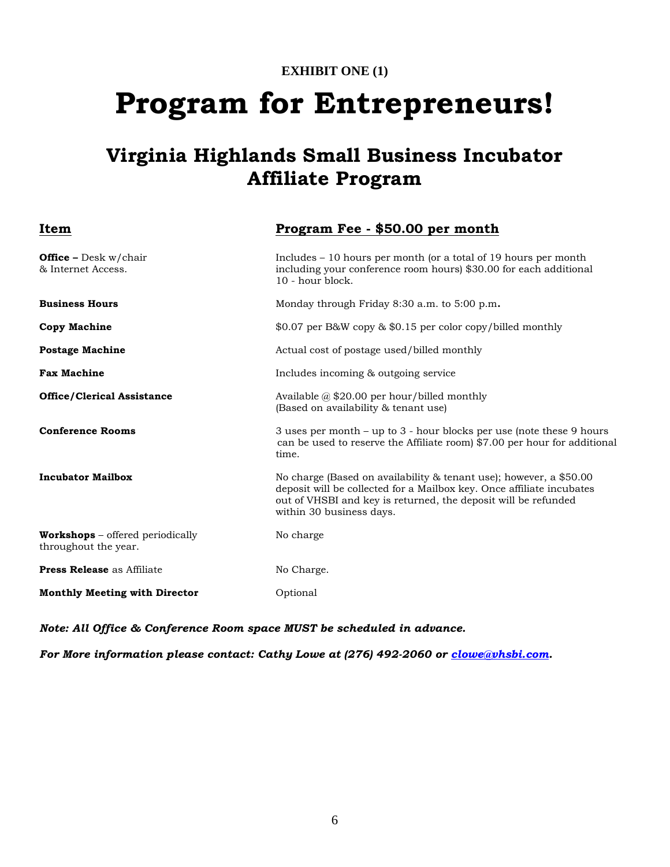# **EXHIBIT ONE (1) Program for Entrepreneurs!**

## **Virginia Highlands Small Business Incubator Affiliate Program**

| Item                                                            | Program Fee - \$50.00 per month                                                                                                                                                                                                           |  |  |
|-----------------------------------------------------------------|-------------------------------------------------------------------------------------------------------------------------------------------------------------------------------------------------------------------------------------------|--|--|
| <b>Office</b> – Desk $w$ /chair<br>& Internet Access.           | Includes – 10 hours per month (or a total of 19 hours per month<br>including your conference room hours) \$30.00 for each additional<br>10 - hour block.                                                                                  |  |  |
| <b>Business Hours</b>                                           | Monday through Friday 8:30 a.m. to 5:00 p.m.                                                                                                                                                                                              |  |  |
| <b>Copy Machine</b>                                             | \$0.07 per B&W copy & \$0.15 per color copy/billed monthly                                                                                                                                                                                |  |  |
| <b>Postage Machine</b>                                          | Actual cost of postage used/billed monthly                                                                                                                                                                                                |  |  |
| <b>Fax Machine</b>                                              | Includes incoming & outgoing service                                                                                                                                                                                                      |  |  |
| <b>Office/Clerical Assistance</b>                               | Available $@$ \$20.00 per hour/billed monthly<br>(Based on availability & tenant use)                                                                                                                                                     |  |  |
| <b>Conference Rooms</b>                                         | 3 uses per month $-$ up to 3 - hour blocks per use (note these 9 hours<br>can be used to reserve the Affiliate room) \$7.00 per hour for additional<br>time.                                                                              |  |  |
| <b>Incubator Mailbox</b>                                        | No charge (Based on availability & tenant use); however, a \$50.00<br>deposit will be collected for a Mailbox key. Once affiliate incubates<br>out of VHSBI and key is returned, the deposit will be refunded<br>within 30 business days. |  |  |
| <b>Workshops</b> – offered periodically<br>throughout the year. | No charge                                                                                                                                                                                                                                 |  |  |
| <b>Press Release</b> as Affiliate                               | No Charge.                                                                                                                                                                                                                                |  |  |
| <b>Monthly Meeting with Director</b>                            | Optional                                                                                                                                                                                                                                  |  |  |

*Note: All Office & Conference Room space MUST be scheduled in advance.*

*For More information please contact: Cathy Lowe at (276) 492-2060 or [clowe@vhsbi.com.](mailto:clowe@vhsbi.com)*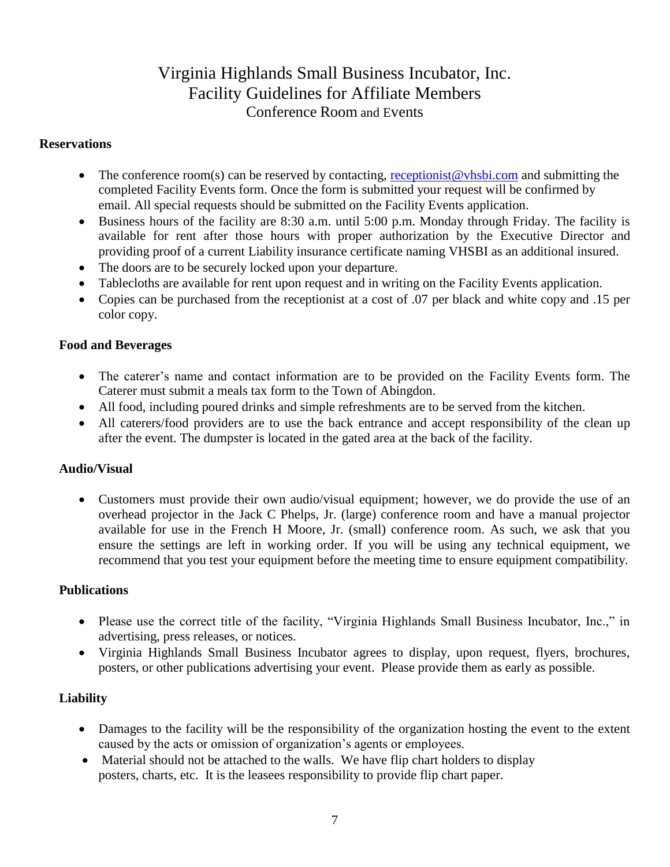### Virginia Highlands Small Business Incubator, Inc. Facility Guidelines for Affiliate Members Conference Room and Events

#### **Reservations**

- The conference room(s) can be reserved by contacting, [receptionist@vhsbi.com](mailto:receptionist@vhsbi.com) and submitting the completed Facility Events form. Once the form is submitted your request will be confirmed by email. All special requests should be submitted on the Facility Events application.
- Business hours of the facility are 8:30 a.m. until 5:00 p.m. Monday through Friday. The facility is available for rent after those hours with proper authorization by the Executive Director and providing proof of a current Liability insurance certificate naming VHSBI as an additional insured.
- The doors are to be securely locked upon your departure.
- Tablecloths are available for rent upon request and in writing on the Facility Events application.
- Copies can be purchased from the receptionist at a cost of .07 per black and white copy and .15 per color copy.

#### **Food and Beverages**

- The caterer's name and contact information are to be provided on the Facility Events form. The Caterer must submit a meals tax form to the Town of Abingdon.
- All food, including poured drinks and simple refreshments are to be served from the kitchen.
- All caterers/food providers are to use the back entrance and accept responsibility of the clean up after the event. The dumpster is located in the gated area at the back of the facility.

#### **Audio/Visual**

 Customers must provide their own audio/visual equipment; however, we do provide the use of an overhead projector in the Jack C Phelps, Jr. (large) conference room and have a manual projector available for use in the French H Moore, Jr. (small) conference room. As such, we ask that you ensure the settings are left in working order. If you will be using any technical equipment, we recommend that you test your equipment before the meeting time to ensure equipment compatibility.

#### **Publications**

- Please use the correct title of the facility, "Virginia Highlands Small Business Incubator, Inc.," in advertising, press releases, or notices.
- Virginia Highlands Small Business Incubator agrees to display, upon request, flyers, brochures, posters, or other publications advertising your event. Please provide them as early as possible.

#### **Liability**

- Damages to the facility will be the responsibility of the organization hosting the event to the extent caused by the acts or omission of organization's agents or employees.
- Material should not be attached to the walls. We have flip chart holders to display posters, charts, etc. It is the leasees responsibility to provide flip chart paper.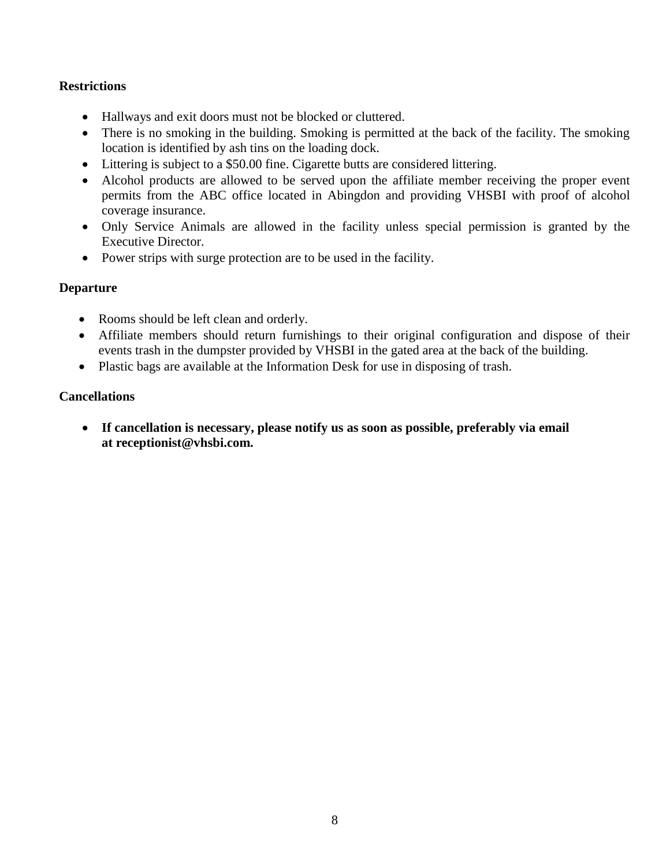#### **Restrictions**

- Hallways and exit doors must not be blocked or cluttered.
- There is no smoking in the building. Smoking is permitted at the back of the facility. The smoking location is identified by ash tins on the loading dock.
- Littering is subject to a \$50.00 fine. Cigarette butts are considered littering.
- Alcohol products are allowed to be served upon the affiliate member receiving the proper event permits from the ABC office located in Abingdon and providing VHSBI with proof of alcohol coverage insurance.
- Only Service Animals are allowed in the facility unless special permission is granted by the Executive Director.
- Power strips with surge protection are to be used in the facility.

#### **Departure**

- Rooms should be left clean and orderly.
- Affiliate members should return furnishings to their original configuration and dispose of their events trash in the dumpster provided by VHSBI in the gated area at the back of the building.
- Plastic bags are available at the Information Desk for use in disposing of trash.

#### **Cancellations**

 **If cancellation is necessary, please notify us as soon as possible, preferably via email at receptionist@vhsbi.com.**